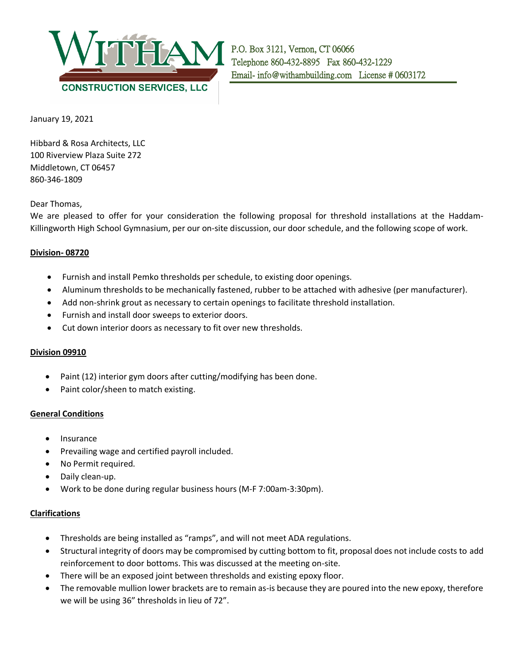

January 19, 2021

Hibbard & Rosa Architects, LLC 100 Riverview Plaza Suite 272 Middletown, CT 06457 860-346-1809

Dear Thomas,

We are pleased to offer for your consideration the following proposal for threshold installations at the Haddam-Killingworth High School Gymnasium, per our on-site discussion, our door schedule, and the following scope of work.

## **Division- 08720**

- Furnish and install Pemko thresholds per schedule, to existing door openings.
- Aluminum thresholds to be mechanically fastened, rubber to be attached with adhesive (per manufacturer).
- Add non-shrink grout as necessary to certain openings to facilitate threshold installation.
- Furnish and install door sweeps to exterior doors.
- Cut down interior doors as necessary to fit over new thresholds.

## **Division 09910**

- Paint (12) interior gym doors after cutting/modifying has been done.
- Paint color/sheen to match existing.

## **General Conditions**

- Insurance
- Prevailing wage and certified payroll included.
- No Permit required.
- Daily clean-up.
- Work to be done during regular business hours (M-F 7:00am-3:30pm).

## **Clarifications**

- Thresholds are being installed as "ramps", and will not meet ADA regulations.
- Structural integrity of doors may be compromised by cutting bottom to fit, proposal does not include costs to add reinforcement to door bottoms. This was discussed at the meeting on-site.
- There will be an exposed joint between thresholds and existing epoxy floor.
- The removable mullion lower brackets are to remain as-is because they are poured into the new epoxy, therefore we will be using 36" thresholds in lieu of 72".